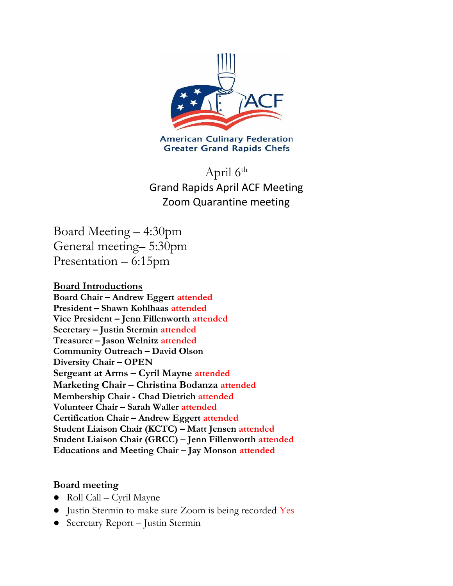

**American Culinary Federation Greater Grand Rapids Chefs** 

April  $6^{\rm th}$ Grand Rapids April ACF Meeting Zoom Quarantine meeting

Board Meeting – 4:30pm General meeting– 5:30pm Presentation – 6:15pm

#### **Board Introductions**

**Board Chair – Andrew Eggert attended President – Shawn Kohlhaas attended Vice President – Jenn Fillenworth attended Secretary – Justin Stermin attended Treasurer – Jason Welnitz attended Community Outreach – David Olson Diversity Chair – OPEN Sergeant at Arms – Cyril Mayne attended Marketing Chair – Christina Bodanza attended Membership Chair - Chad Dietrich attended Volunteer Chair – Sarah Waller attended Certification Chair – Andrew Eggert attended Student Liaison Chair (KCTC) – Matt Jensen attended Student Liaison Chair (GRCC) – Jenn Fillenworth attended Educations and Meeting Chair – Jay Monson attended**

#### **Board meeting**

- Roll Call Cyril Mayne
- Justin Stermin to make sure Zoom is being recorded Yes
- Secretary Report Justin Stermin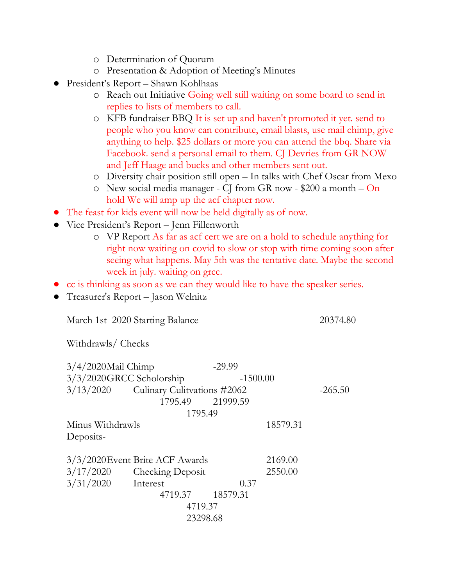- o Determination of Quorum
- o Presentation & Adoption of Meeting's Minutes
- President's Report Shawn Kohlhaas
	- o Reach out Initiative Going well still waiting on some board to send in replies to lists of members to call.
	- o KFB fundraiser BBQ It is set up and haven't promoted it yet. send to people who you know can contribute, email blasts, use mail chimp, give anything to help. \$25 dollars or more you can attend the bbq. Share via Facebook. send a personal email to them. CJ Devries from GR NOW and Jeff Haage and bucks and other members sent out.
	- o Diversity chair position still open In talks with Chef Oscar from Mexo
	- o New social media manager CJ from GR now \$200 a month On hold We will amp up the acf chapter now.
- The feast for kids event will now be held digitally as of now.
- Vice President's Report Jenn Fillenworth
	- o VP Report As far as acf cert we are on a hold to schedule anything for right now waiting on covid to slow or stop with time coming soon after seeing what happens. May 5th was the tentative date. Maybe the second week in july. waiting on grcc.
- cc is thinking as soon as we can they would like to have the speaker series.
- Treasurer's Report Jason Welnitz

March 1st 2020 Starting Balance 20374.80

Withdrawls/ Checks

| $3/4/2020$ Mail Chimp    |                                       | $-29.99$   |          |           |
|--------------------------|---------------------------------------|------------|----------|-----------|
| 3/3/2020GRCC Scholorship |                                       | $-1500.00$ |          |           |
|                          | 3/13/2020 Culinary Culityations #2062 |            |          | $-265.50$ |
|                          | 1795.49 21999.59                      |            |          |           |
| 1795.49                  |                                       |            |          |           |
| Minus Withdrawls         |                                       |            | 18579.31 |           |
| Deposits-                |                                       |            |          |           |
|                          | 3/3/2020 Event Brite ACF Awards       |            | 2169.00  |           |
|                          | 3/17/2020 Checking Deposit            |            | 2550.00  |           |
| 3/31/2020                | Interest                              | 0.37       |          |           |
|                          | 4719.37 18579.31                      |            |          |           |
| 4719.37                  |                                       |            |          |           |
| 23298.68                 |                                       |            |          |           |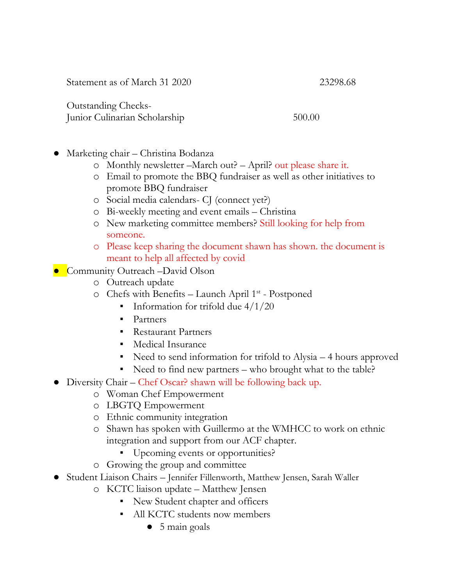Statement as of March 31 2020 23298.68

Outstanding Checks-Junior Culinarian Scholarship 500.00

- Marketing chair Christina Bodanza
	- o Monthly newsletter –March out? April? out please share it.
	- o Email to promote the BBQ fundraiser as well as other initiatives to promote BBQ fundraiser
	- o Social media calendars- CJ (connect yet?)
	- o Bi-weekly meeting and event emails Christina
	- o New marketing committee members? Still looking for help from someone.
	- o Please keep sharing the document shawn has shown. the document is meant to help all affected by covid
- Community Outreach –David Olson
	- o Outreach update
	- o Chefs with Benefits Launch April 1<sup>st</sup> Postponed
		- Information for trifold due  $4/1/20$
		- **•** Partners
		- Restaurant Partners
		- Medical Insurance
		- Need to send information for trifold to Alysia 4 hours approved
		- Need to find new partners who brought what to the table?
- Diversity Chair Chef Oscar? shawn will be following back up.
	- o Woman Chef Empowerment
	- o LBGTQ Empowerment
	- o Ethnic community integration
	- o Shawn has spoken with Guillermo at the WMHCC to work on ethnic integration and support from our ACF chapter.
		- Upcoming events or opportunities?
	- o Growing the group and committee
- Student Liaison Chairs Jennifer Fillenworth, Matthew Jensen, Sarah Waller
	- o KCTC liaison update Matthew Jensen
		- New Student chapter and officers
		- **I** All KCTC students now members
			- $\bullet$  5 main goals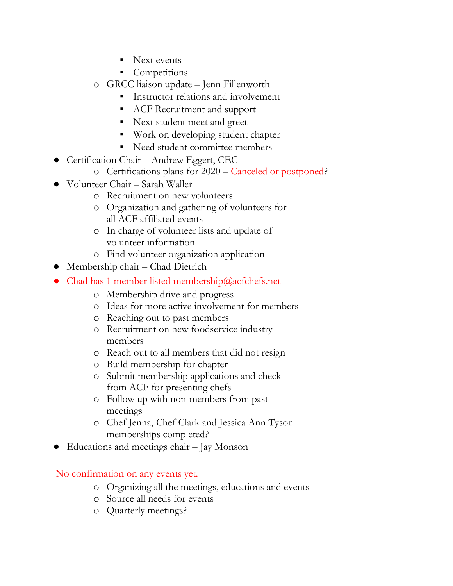- Next events
- Competitions
- o GRCC liaison update Jenn Fillenworth
	- **•** Instructor relations and involvement
	- ACF Recruitment and support
	- Next student meet and greet
	- Work on developing student chapter
	- Need student committee members
- Certification Chair Andrew Eggert, CEC
	- o Certifications plans for 2020 Canceled or postponed?
- Volunteer Chair Sarah Waller
	- o Recruitment on new volunteers
	- o Organization and gathering of volunteers for all ACF affiliated events
	- o In charge of volunteer lists and update of volunteer information
	- o Find volunteer organization application
- Membership chair Chad Dietrich
- Chad has 1 member listed membership@acfchefs.net
	- o Membership drive and progress
	- o Ideas for more active involvement for members
	- o Reaching out to past members
	- o Recruitment on new foodservice industry members
	- o Reach out to all members that did not resign
	- o Build membership for chapter
	- o Submit membership applications and check from ACF for presenting chefs
	- o Follow up with non-members from past meetings
	- o Chef Jenna, Chef Clark and Jessica Ann Tyson memberships completed?
- Educations and meetings chair Jay Monson

### No confirmation on any events yet.

- o Organizing all the meetings, educations and events
- o Source all needs for events
- o Quarterly meetings?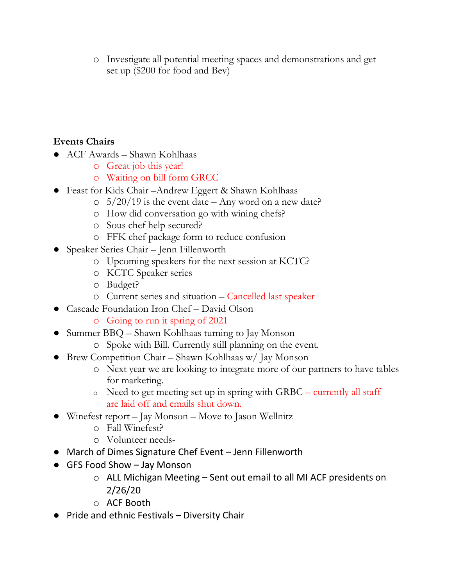o Investigate all potential meeting spaces and demonstrations and get set up (\$200 for food and Bev)

### **Events Chairs**

- ACF Awards Shawn Kohlhaas
	- o Great job this year!
	- o Waiting on bill form GRCC
- Feast for Kids Chair –Andrew Eggert & Shawn Kohlhaas
	- $\circ$  5/20/19 is the event date Any word on a new date?
	- o How did conversation go with wining chefs?
	- o Sous chef help secured?
	- o FFK chef package form to reduce confusion
- Speaker Series Chair Jenn Fillenworth
	- o Upcoming speakers for the next session at KCTC?
	- o KCTC Speaker series
	- o Budget?
	- o Current series and situation Cancelled last speaker
- Cascade Foundation Iron Chef David Olson
	- o Going to run it spring of 2021
- Summer BBQ Shawn Kohlhaas turning to Jay Monson
	- o Spoke with Bill. Currently still planning on the event.
- Brew Competition Chair Shawn Kohlhaas w/ Jay Monson
	- o Next year we are looking to integrate more of our partners to have tables for marketing.
	- o Need to get meeting set up in spring with GRBC currently all staff are laid off and emails shut down.
- Winefest report Jay Monson Move to Jason Wellnitz
	- o Fall Winefest?
	- o Volunteer needs-
- March of Dimes Signature Chef Event Jenn Fillenworth
- GFS Food Show Jay Monson
	- o ALL Michigan Meeting Sent out email to all MI ACF presidents on 2/26/20
	- o ACF Booth
- Pride and ethnic Festivals Diversity Chair